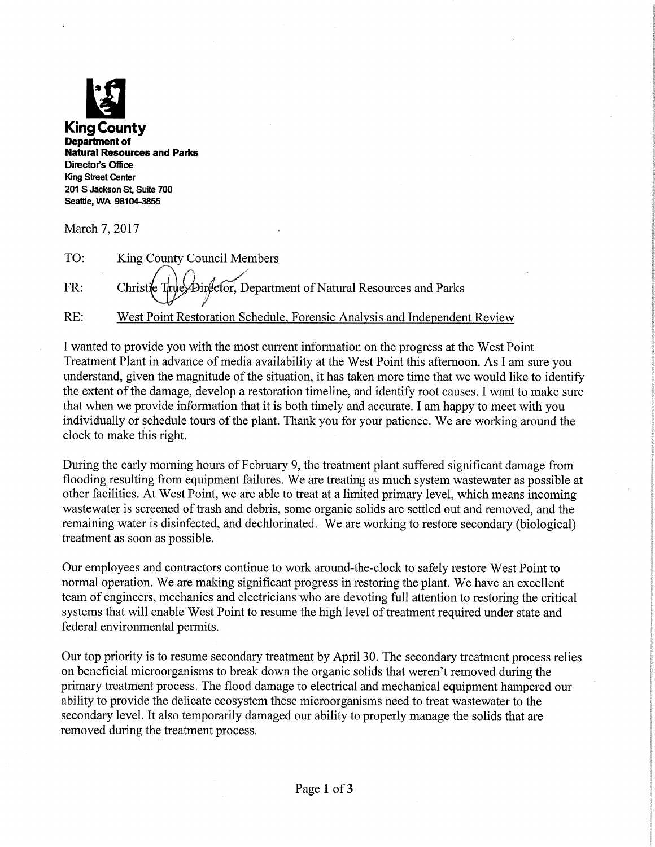

Department of Natural Resources and Parks Director's Office King Street Center 201 S Jackson St, Suite 700 Seattle, WA 98104-3855

March 7, 2017

TO: King County Council Members

FR: Christie True, Director, Department of Natural Resources and Parks

RE: West Point Restoration Schedule, Forensic Analysis and Independent Review

I wanted to provide you with the most current information on the progress at the West Point Treatment Plant in advance of media availability at the West Point this afiternoon. As I am sure you understand, given the magnitude of the situation, it has taken more time that we would like to identify the extent of the damage, develop a restoration timeline, and identify root causes. I want to make sure that when we provide information that it is both timely and accurate. I am happy to meet with you individually or schedule tours of the plant. Thank you for your patience. We are working around the clock to make this right.

During the early morning hours of February 9, the treatment plant suffered significant damage from flooding resulting from equipment failures. We are treating as much system wastewater as possible at other facilities. At West Point, we are able to treat at a limited primary level, which means incoming wastewater is screened of trash and debris, some organic solids are settled out and removed, and the remaining water is disinfected, and dechlorinated. We are working to restore secondary (biological) treatment as soon as possible.

Our employees and contractors continue to work around-the-clock to safely restore West Point to normal operation. We are making significant progress in restoring the plant. We have an excellent team of engineers, mechanics and electricians who are devoting full attention to restoring the critical systems that will enable West Point to resume the high level of treatment required under state and federal environmental permits.

Our top priority is to resume secondary treatment by April 30. The secondary treatment process relies on beneficial microorganisms to break down the organic solids that weren't removed during the primary treatment process. The flood damage to electrical and mechanical equipment hampered our ability to provide the delicate ecosystem these microorganisms need to treat wastewater to the secondary level. It also temporarily damaged our ability to properly manage the solids that are removed during the treatment process.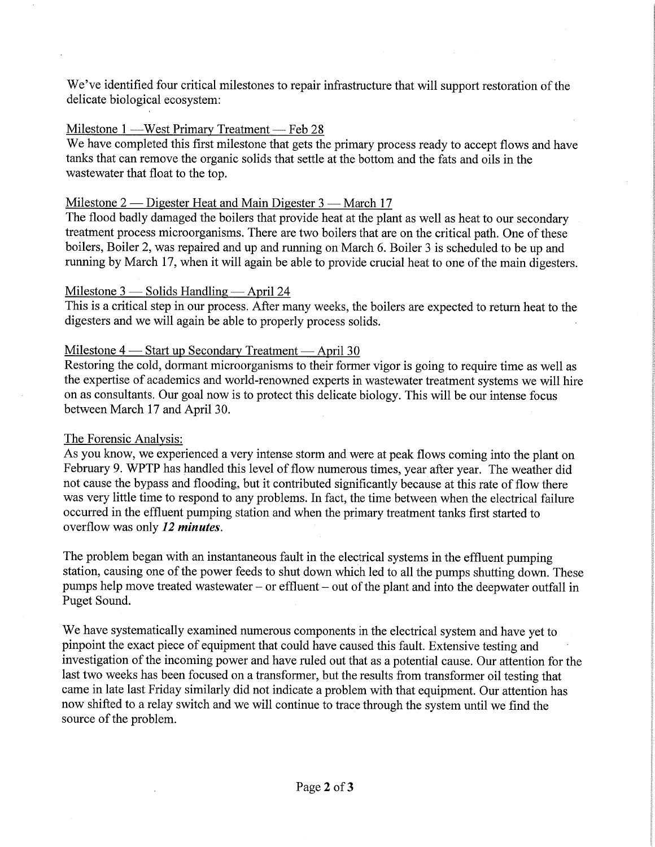We've identified four critical milestones to repair infrastructure that will support restoration of the delicate biological ecosystem:

# Milestone 1 —West Primary Treatment — Feb 28

We have completed this first milestone that gets the primary process ready to accept flows and have tanks that can remove the organic solids that settle at the bottom and the fats and oils in the wastewater that float to the top.

# Milestone 2 — Digester Heat and Main Digester 3 — March 17

The flood badly damaged the boilers that provide heat at the plant as well as heat to our secondary treatment process microorganisms. There are two boilers that are on the critical path. One of these boilers, Boiler 2, was repaired and up and running on March 6. Boiler 3 is scheduled to be up and running by March 17, when it will again be able to provide crucial heat to one of the main digesters.

### Milestone  $3$  — Solids Handling — April 24

This is a critical step in our process. After many weeks, the boilers are expected to return heat to the digesters and we will again be able to properly process solids.

### Milestone 4 — Start up Secondary Treatment — April 30

Restoring the cold, dormant microorganisms to their former vigor is going to require time as well as the expertise of academics and world-renowned experts in wastewater treatment systems we will hire on as consultants. Our goal now is to protect this delicate biology. This will be our intense focus between March 17 and April 30.

## The Forensic Analysis:

As you know, we experienced a very intense storm and were at peak flows coming into the plant on February 9. WPTP has handled this level of flow numerous times, year after year. The weather did not cause the bypass and flooding, but it contributed significantly because at this rate of flow there was very little time to respond to any problems. In fact, the time between when the electrical failure occurred in the effluent pumping station and when the primary treatment tanks first started to overflow was only 12 *minutes*.

The problem began with an instantaneous fault in the electrical systems in the effluent pumping station, causing one of the power feeds to shut down which led to all the pumps shutting down. These pumps help move treated wastewater – or effluent – out of the plant and into the deepwater outfall in Puget Sound.

We have systematically examined numerous components in the electrical system and have yet to pinpoint the exact piece of equipment that could have caused this fault. Extensive testing and investigation of the incoming power and have ruled out that as a potential cause. Our attention for the last two weeks has been focused on a transformer, but the results from transformer oil testing that came in late last Friday similarly did not indicate a problem with that equipment. Our attention has now shifted to a relay switch and we will continue to trace through the system until we find the source of the problem.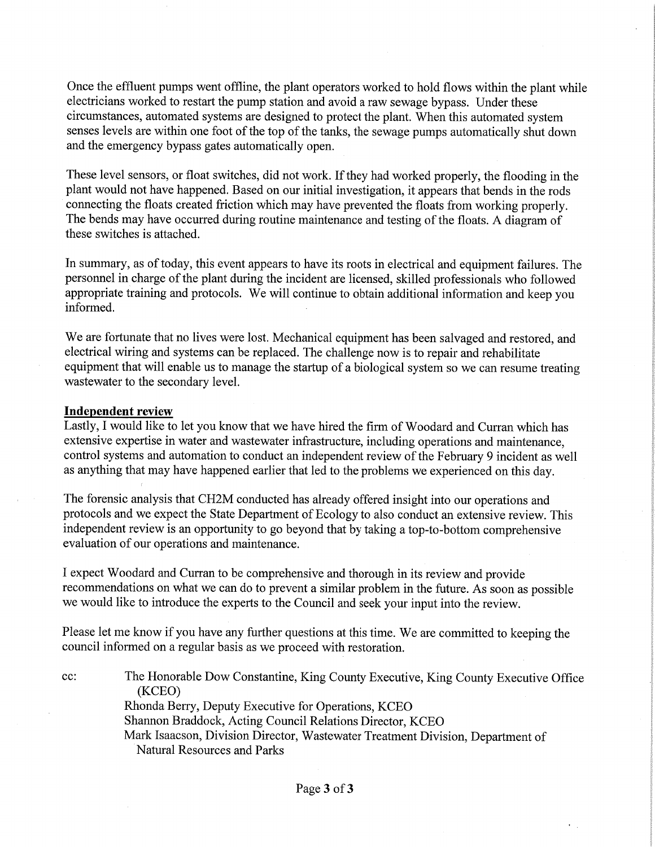Once the effluent pumps went offline, the plant operators worked to hold flows within the plant while electricians worked to restart the pump station and avoid a raw sewage bypass. Under these circumstances, automated systems are designed to protect the plant. When this automated system senses levels are within one foot of the top of the tanks, the sewage pumps automatically shut down and the emergency bypass gates automatically open.

These level sensors, or float switches, did not work. If they had worked properly, the flooding in the plant would not have happened. Based on our initial investigation, it appears that bends in the rods connecting the floats created friction which may have prevented the floats from working properly. The bends may have occurred during routine maintenance and testing of the floats. A diagram of these switches is attached.

In summary, as of today, this event appears to have its roots in electrical and equipment failures. The personnel in charge of the plant during the incident are licensed, skilled professionals who followed appropriate training and protocols. We will continue to obtain additional information and keep you informed.

We are fortunate that no lives were lost. Mechanical equipment has been salvaged and restored, and electrical wiring and systems can be replaced. The challenge now is to repair and rehabilitate equipment that will enable us to manage the startup of a biological system so we can resume treating wastewater to the secondary level.

### Independent review

Lastly, I would like to let you know that we have hired the firm of Woodard and Curran which has extensive expertise in water and wastewater infrastructure, including operations and maintenance, control systems and automation to conduct an independent review of the Febmary 9 incident as well as anything that may have happened earlier that led to the problems we experienced on this day.

The forensic analysis that CH2M conducted has already offered insight into our operations and protocols and we expect the State Department of Ecology to also conduct an extensive review. This independent review is an opportunity to go beyond that by taking a top-to-bottom comprehensive evaluation of our operations and maintenance.

I expect Woodard and Curran to be comprehensive and thorough in its review and provide recommendations on what we can do to prevent a similar problem in the future. As soon as possible we would like to introduce the experts to the Council and seek your input into the review.

Please let me know if you have any further questions at this time. We are committed to keeping the council informed on a regular basis as we proceed with restoration.

ec: The Honorable Dow Constantine, King County Executive, King County Executive Office (KCEO) Rhonda Berry, Deputy Executive for Operations, KCEO Shannon Braddock, Acting Council Relations Director, KCEO

Mark Isaacson, Division Director, Wastewater Treatment Division, Department of Natural Resources and Parks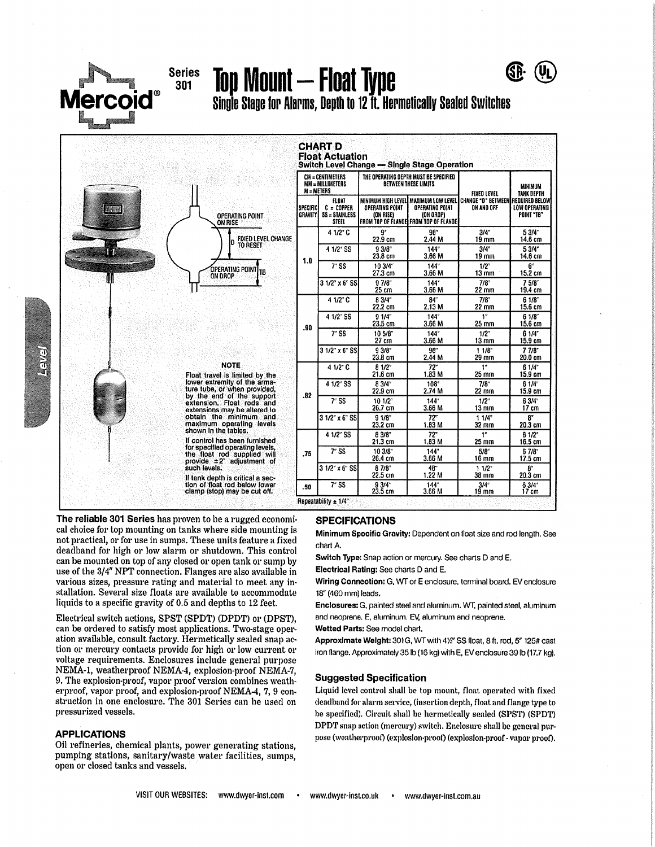

### **Series** 301

Top Mount — Float Type

CHART D

Single Stage for Alarms, Depth to 12 ft. Hermetically Sealed Switches



| CM = CENTIMETERS<br>MM = MILLIMETERS<br>$M = METERS$ |                                                                | THE OPERATING DEPTH MUST BE SPECIFIED<br><b>BETWEEN THESE LIMITS</b> |                                                                       | FIXED LEVEL                                                                              | MINIMUM<br>TANK DEPTH       |
|------------------------------------------------------|----------------------------------------------------------------|----------------------------------------------------------------------|-----------------------------------------------------------------------|------------------------------------------------------------------------------------------|-----------------------------|
| <b>SPECIFIC</b><br>GRAVITY                           | <b>FLOAT</b><br>$C = \text{CDPFER}$<br>SS = STAINLESS<br>STEEL | OPERATING POINT<br>(ON RISE)                                         | OPERATING POINT<br>(ON OROP)<br>FROM TOP OF FLANGE FROM TOP OF FLANGE | MINIMUM HIGH LEVEL  MAXIMUM LOW LEVEL   CHANGE "O" BETWEEN  REQUIRED BELOW<br>ON AND OFF | LOW OPERATING<br>POINT "TB" |
| 1.0                                                  | 4 1/2" C                                                       | $9^*$<br>22.9 cm                                                     | 96"<br>2.44 M                                                         | 3/4"<br>19 mm                                                                            | 5 3/4"<br>14.6 cm           |
|                                                      | 4 1/2" SS                                                      | $9.3/8$ "<br>23.8 cm                                                 | 144"<br>3.66 M                                                        | 3/4''<br>19 mm                                                                           | 5 3/4"<br>14.6 cm           |
|                                                      | $7r$ SS                                                        | 10 3/4"<br>27.3 cm                                                   | 144"<br>3.66 M                                                        | $1/2$ <sup>*</sup><br>13 mm                                                              | 6"<br>15.2 cm               |
|                                                      | $31/27 \times 65$ SS                                           | 97/8<br>25 cm                                                        | 144*<br>3.66 M                                                        | 7/8"<br>22 mm                                                                            | 75/8<br>19.4 cm             |
| .90                                                  | 4 1/2" C                                                       | 8 3/4"<br>22.2 cm                                                    | 84"<br>2.13 M                                                         | $7/8^{\circ}$<br>22 mm                                                                   | 6.1/8"<br>15.6 cm           |
|                                                      | 4 1/2" SS                                                      | 91/4<br>23.5 cm                                                      | 144"<br>3.66 M                                                        | 1''<br>$25 \text{ mm}$                                                                   | 61/8'<br>15.6 cm            |
|                                                      | $\overline{7}$ SS                                              | 10 5/8"<br>27 cm                                                     | 144"<br>3.66 M                                                        | $1/2^+$<br>$13 \text{ mm}$                                                               | 61/4"<br>15.9 cm            |
|                                                      | $31/2$ " x 6" SS                                               | 9.3/8<br>23.8 cm                                                     | 96''<br>2.44 M                                                        | 11/8<br>29 mm                                                                            | 77/8<br>20.0 cm             |
| .82                                                  | 4 1/2" C                                                       | $B = 1/2$<br>21.6 cm                                                 | 72"<br>1.83M                                                          | 1"<br>25 mm                                                                              | 61/4<br>15.9 cm             |
|                                                      | 4 1/2" SS                                                      | 8 3/4"<br>22.9 cm                                                    | 108*<br>2.74 M                                                        | $7/8$ <sup>*</sup><br>22 mm                                                              | 61/4"<br>15.9 cm            |
|                                                      | 7 <sub>55</sub>                                                | $10^{1/2}$<br>26.7 cm                                                | 144*<br>3.66 M                                                        | $1/2$ <sup>*</sup><br>$13 \text{ mm}$                                                    | 6 3/4"<br>17 cm             |
|                                                      | $31/2$ " x $6$ " SS                                            | 91/8"<br>23.2 cm                                                     | $72^{\circ}$<br>1.83 M                                                | 11/4"<br>32 mm                                                                           | 8"<br>20.3 cm               |
| .75                                                  | 4 1/2" SS                                                      | 8.3/8<br>21.3 cm                                                     | $72^{\circ}$<br>1.83 M                                                | 1"<br>25 mm                                                                              | 61/2<br>16.5cm              |
|                                                      | $7^\circ$ SS                                                   | 10 3/8"<br>26.4 cm                                                   | $144^\circ$<br>3.66 M                                                 | $5/8^{\circ}$<br>16 mm                                                                   | 6 7/8°<br>17.5 cm           |
|                                                      | $31/2$ " x 6" SS                                               | 8 7/8"<br>22.5 cm                                                    | 48"<br>1.22 M                                                         | $11/2$ <sup>*</sup><br>38 mm                                                             | R"<br>20.3 cm               |
| .50                                                  | $7'$ SS                                                        | 9.3/4"<br>23.5 cm                                                    | 144"<br>3.66 M                                                        | $3/4$ <sup>*</sup><br>19 mm                                                              | 6 3/4"<br>17 cm             |

The reliable 301 Series has proven to be a rugged economical choice for top mounting on tanks where side mounting is not practical, or for use in sumps. These units feature a fixed deadband for high or low alarm or shutdown. This control can be mounted on top of any closed or open tank or sump by use of the 3/4" NPT connection. Flanges are also available in various sizes, pressure rating and material to meet any installation. Several size floats are available to accommodate liquids to a specific gravity of 0.5 and depths to 12 feet.

Electrical switch actions, SPST (SPDT) (DPDT) or (DPST). can be ordered to satisfy most applications. Two-stage operation available, consult factory. Hermetically sealed snap action or mercury contacts provide for high or low current or voltage requirements. Enclosures include general purpose NEMA-1, weatherproof NEMA-4, explosion-proof NEMA-7, 9. The explosion-proof, vapor proof version combines weatherproof, vapor proof, and explosion-proof NEMA-4, 7, 9 construction in one enclosure. The 301 Series can be used on pressurized vessels.

#### **APPLICATIONS**

EXEN

Oil refineries, chemical plants, power generating stations, pumping stations, sanitary/waste water facilities, sumps, open or closed tanks and vessels.

#### **SPECIFICATIONS**

Minimum Specific Gravity: Dependent on float size and rod length. See chart A.

Switch Type: Snap action or mercury. See charts D and E.

Electrical Rating: See charts D and E.

Wiring Connection: G, WT or E enclosure, terminal board. EV enclosure 18" (460 mm) leads.

Enclosures: G, painted steel and aluminum. WT, painted steel, aluminum and neoprene. E, aluminum. EV, aluminum and neoprene.

Wetted Parts: See model chart.

Approximate Weight: 301G, WT with 41/2" SS float, 8 ft. rod, 5" 125# cast iron flange. Approximately 35 lb (16 kg) with E, EV enclosure 39 lb (17,7 kg).

#### **Suggested Specification**

Liquid level control shall be top mount, float operated with fixed deadband for alarm service, (insertion depth, float and flange type to be specified). Circuit shall be hermetically sealed (SPST) (SPDT) DPDT snap action (mercury) switch. Enclosure shall be general purpose (weatherproof) (explosion-proof) (explosion-proof - vapor proof).